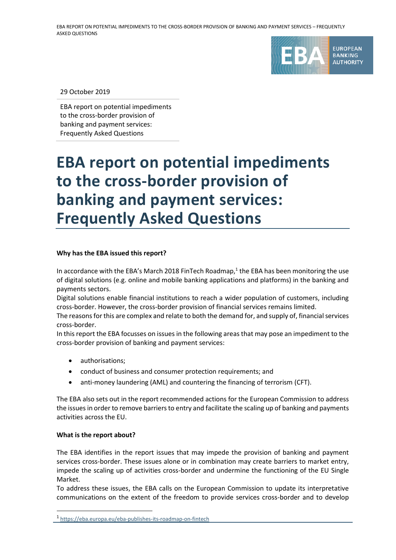

29 October 2019

EBA report on potential impediments to the cross-border provision of banking and payment services: Frequently Asked Questions

# **EBA report on potential impediments to the cross-border provision of banking and payment services: Frequently Asked Questions**

## **Why has the EBA issued this report?**

In accordance with the EBA's March 2018 FinTech Roadmap, $<sup>1</sup>$  the EBA has been monitoring the use</sup> of digital solutions (e.g. online and mobile banking applications and platforms) in the banking and payments sectors.

Digital solutions enable financial institutions to reach a wider population of customers, including cross-border. However, the cross-border provision of financial services remains limited.

The reasons for this are complex and relate to both the demand for, and supply of, financial services cross-border.

In this report the EBA focusses on issues in the following areas that may pose an impediment to the cross-border provision of banking and payment services:

- authorisations;
- conduct of business and consumer protection requirements; and
- anti-money laundering (AML) and countering the financing of terrorism (CFT).

The EBA also sets out in the report recommended actions for the European Commission to address the issues in order to remove barriers to entry and facilitate the scaling up of banking and payments activities across the EU.

## **What is the report about?**

1

The EBA identifies in the report issues that may impede the provision of banking and payment services cross-border. These issues alone or in combination may create barriers to market entry, impede the scaling up of activities cross-border and undermine the functioning of the EU Single Market.

To address these issues, the EBA calls on the European Commission to update its interpretative communications on the extent of the freedom to provide services cross-border and to develop

<sup>1</sup> <https://eba.europa.eu/eba-publishes-its-roadmap-on-fintech>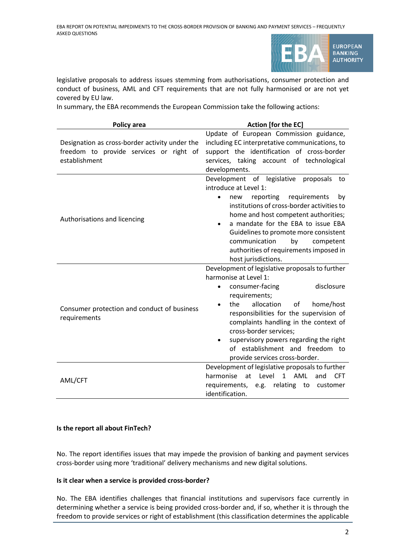

legislative proposals to address issues stemming from authorisations, consumer protection and conduct of business, AML and CFT requirements that are not fully harmonised or are not yet covered by EU law.

In summary, the EBA recommends the European Commission take the following actions:

| Policy area                                                                                                | Action [for the EC]                                                                                                                                                                                                                                                                                                                                                                                          |
|------------------------------------------------------------------------------------------------------------|--------------------------------------------------------------------------------------------------------------------------------------------------------------------------------------------------------------------------------------------------------------------------------------------------------------------------------------------------------------------------------------------------------------|
| Designation as cross-border activity under the<br>freedom to provide services or right of<br>establishment | Update of European Commission guidance,<br>including EC interpretative communications, to<br>support the identification of cross-border<br>services, taking account of technological<br>developments.                                                                                                                                                                                                        |
| Authorisations and licencing                                                                               | Development of legislative<br>proposals<br>to<br>introduce at Level 1:<br>reporting<br>requirements<br>by<br>new<br>$\bullet$<br>institutions of cross-border activities to<br>home and host competent authorities;<br>a mandate for the EBA to issue EBA<br>Guidelines to promote more consistent<br>communication<br>by<br>competent<br>authorities of requirements imposed in<br>host jurisdictions.      |
| Consumer protection and conduct of business<br>requirements                                                | Development of legislative proposals to further<br>harmonise at Level 1:<br>disclosure<br>consumer-facing<br>$\bullet$<br>requirements;<br>allocation<br>home/host<br>the<br>οf<br>responsibilities for the supervision of<br>complaints handling in the context of<br>cross-border services;<br>supervisory powers regarding the right<br>of establishment and freedom to<br>provide services cross-border. |
| AML/CFT                                                                                                    | Development of legislative proposals to further<br>harmonise<br>1 AML<br>at Level<br><b>CFT</b><br>and<br>requirements,<br>e.g. relating to<br>customer<br>identification.                                                                                                                                                                                                                                   |

## **Is the report all about FinTech?**

No. The report identifies issues that may impede the provision of banking and payment services cross-border using more 'traditional' delivery mechanisms and new digital solutions.

## **Is it clear when a service is provided cross-border?**

No. The EBA identifies challenges that financial institutions and supervisors face currently in determining whether a service is being provided cross-border and, if so, whether it is through the freedom to provide services or right of establishment (this classification determines the applicable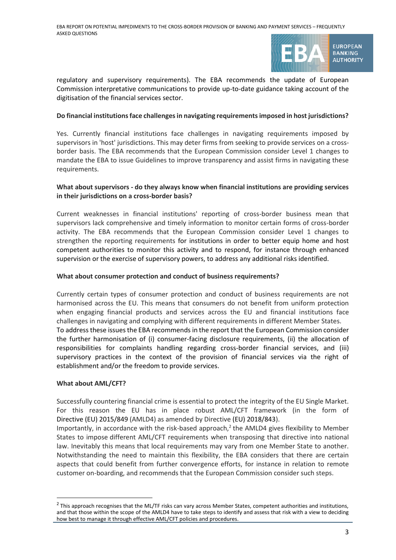

regulatory and supervisory requirements). The EBA recommends the update of European Commission interpretative communications to provide up-to-date guidance taking account of the digitisation of the financial services sector.

## **Do financial institutions face challenges in navigating requirements imposed in host jurisdictions?**

Yes. Currently financial institutions face challenges in navigating requirements imposed by supervisors in 'host' jurisdictions. This may deter firms from seeking to provide services on a crossborder basis. The EBA recommends that the European Commission consider Level 1 changes to mandate the EBA to issue Guidelines to improve transparency and assist firms in navigating these requirements.

## **What about supervisors - do they always know when financial institutions are providing services in their jurisdictions on a cross-border basis?**

Current weaknesses in financial institutions' reporting of cross-border business mean that supervisors lack comprehensive and timely information to monitor certain forms of cross-border activity. The EBA recommends that the European Commission consider Level 1 changes to strengthen the reporting requirements for institutions in order to better equip home and host competent authorities to monitor this activity and to respond, for instance through enhanced supervision or the exercise of supervisory powers, to address any additional risks identified.

## **What about consumer protection and conduct of business requirements?**

Currently certain types of consumer protection and conduct of business requirements are not harmonised across the EU. This means that consumers do not benefit from uniform protection when engaging financial products and services across the EU and financial institutions face challenges in navigating and complying with different requirements in different Member States. To address these issues the EBA recommends in the report that the European Commission consider the further harmonisation of (i) consumer-facing disclosure requirements, (ii) the allocation of responsibilities for complaints handling regarding cross-border financial services, and (iii) supervisory practices in the context of the provision of financial services via the right of establishment and/or the freedom to provide services.

## **What about AML/CFT?**

1

Successfully countering financial crime is essential to protect the integrity of the EU Single Market. For this reason the EU has in place robust AML/CFT framework (in the form of Directive (EU) 2015/849 (AMLD4) as amended by Directive (EU) 2018/843).

Importantly, in accordance with the risk-based approach,<sup>2</sup> the AMLD4 gives flexibility to Member States to impose different AML/CFT requirements when transposing that directive into national law. Inevitably this means that local requirements may vary from one Member State to another. Notwithstanding the need to maintain this flexibility, the EBA considers that there are certain aspects that could benefit from further convergence efforts, for instance in relation to remote customer on-boarding, and recommends that the European Commission consider such steps.

 $2$  This approach recognises that the ML/TF risks can vary across Member States, competent authorities and institutions, and that those within the scope of the AMLD4 have to take steps to identify and assess that risk with a view to deciding how best to manage it through effective AML/CFT policies and procedures.